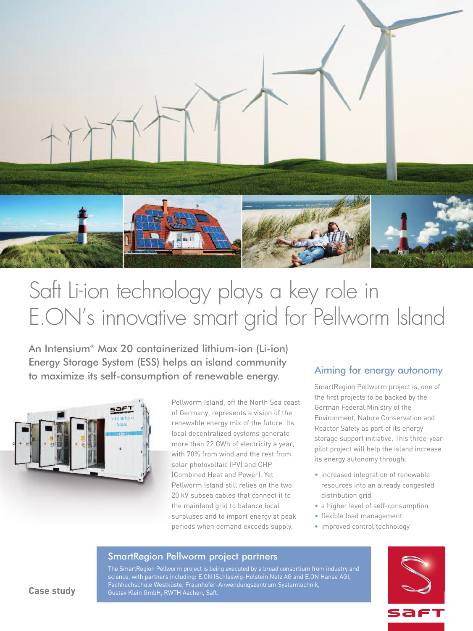

# Saft Li-ion technology plays a key role in E.ON' s innovative smart grid for Pellworm Island

An Intensium® Max 20 containerized lithium-ion (Li-ion) Energy Storage System (ESS) helps an island community to maximize its self-consumption of renewable energy.



Pellworm Island, off the North Sea coast of Germany, represents a vision of the renewable energy mix of the future. Its local decentralized systems generate more than 22 GWh of electricity a year, with 70% from wind and the rest from solar photovoltaic (PV) and CHP (Combined Heat and Power). Yet Pellworm Island still relies on the two 20 kV subsea cables that connect it to the mainland grid to balance local surpluses and to import energy at peak periods when demand exceeds supply.

#### Aiming for energy autonomy

SmartRegion Pellworm project is, one of the first projects to be backed by the German Federal Ministry of the Environment, Nature Conservation and Reactor Safety as part of its energy storage support initiative. This three-year pilot project will help the island increase its energy autonomy through:

- increased integration of renewable resources into an already congested distribution grid
- a higher level of self-consumption
- flexible load management
- improved control technology

#### SmartRegion Pellworm project partners

The SmartRegion Pellworm project is being executed by a broad consortium from industry and science, with partners including: E.ON (Schleswig-Holstein Netz AG and E.ON Hanse AG), Fachhochschule Westküste, Fraunhofer-Anwendungszentrum Systemtechnik, Gustav Klein GmbH, RWTH Aachen, Saft.



**Case study**